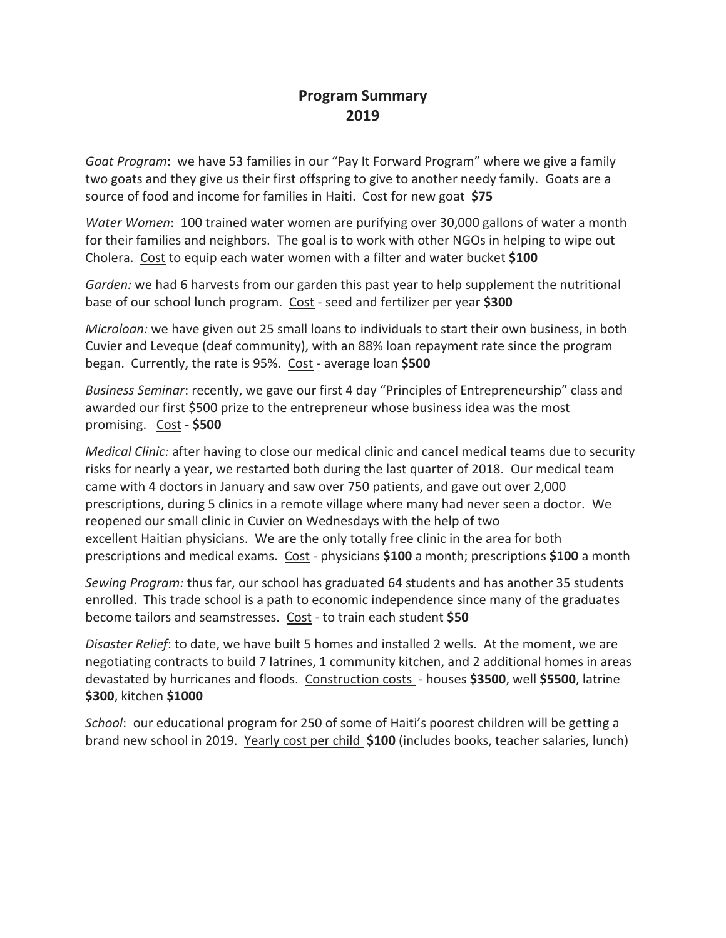## **Program Summary 2019**

*Goat Program*: we have 53 families in our "Pay It Forward Program" where we give a family two goats and they give us their first offspring to give to another needy family. Goats are a source of food and income for families in Haiti. Cost for new goat **\$75**

*Water Women*: 100 trained water women are purifying over 30,000 gallons of water a month for their families and neighbors. The goal is to work with other NGOs in helping to wipe out Cholera. Cost to equip each water women with a filter and water bucket **\$100**

*Garden:* we had 6 harvests from our garden this past year to help supplement the nutritional base of our school lunch program. Cost - seed and fertilizer per year **\$300**

*Microloan:* we have given out 25 small loans to individuals to start their own business, in both Cuvier and Leveque (deaf community), with an 88% loan repayment rate since the program began. Currently, the rate is 95%. Cost - average loan **\$500**

*Business Seminar*: recently, we gave our first 4 day "Principles of Entrepreneurship" class and awarded our first \$500 prize to the entrepreneur whose business idea was the most promising. Cost - **\$500**

*Medical Clinic:* after having to close our medical clinic and cancel medical teams due to security risks for nearly a year, we restarted both during the last quarter of 2018. Our medical team came with 4 doctors in January and saw over 750 patients, and gave out over 2,000 prescriptions, during 5 clinics in a remote village where many had never seen a doctor. We reopened our small clinic in Cuvier on Wednesdays with the help of two excellent Haitian physicians. We are the only totally free clinic in the area for both prescriptions and medical exams. Cost - physicians **\$100** a month; prescriptions **\$100** a month

*Sewing Program:* thus far, our school has graduated 64 students and has another 35 students enrolled. This trade school is a path to economic independence since many of the graduates become tailors and seamstresses. Cost - to train each student **\$50**

*Disaster Relief*: to date, we have built 5 homes and installed 2 wells. At the moment, we are negotiating contracts to build 7 latrines, 1 community kitchen, and 2 additional homes in areas devastated by hurricanes and floods. Construction costs - houses **\$3500**, well **\$5500**, latrine **\$300**, kitchen **\$1000**

*School*: our educational program for 250 of some of Haiti's poorest children will be getting a brand new school in 2019. Yearly cost per child **\$100** (includes books, teacher salaries, lunch)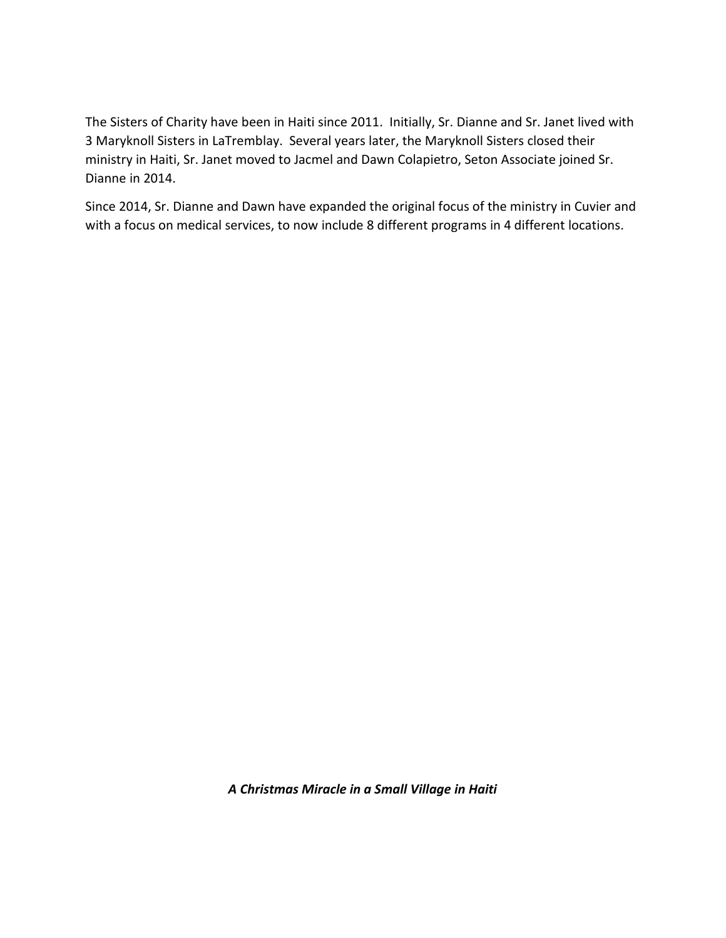The Sisters of Charity have been in Haiti since 2011. Initially, Sr. Dianne and Sr. Janet lived with 3 Maryknoll Sisters in LaTremblay. Several years later, the Maryknoll Sisters closed their ministry in Haiti, Sr. Janet moved to Jacmel and Dawn Colapietro, Seton Associate joined Sr. Dianne in 2014.

Since 2014, Sr. Dianne and Dawn have expanded the original focus of the ministry in Cuvier and with a focus on medical services, to now include 8 different programs in 4 different locations.

*A Christmas Miracle in a Small Village in Haiti*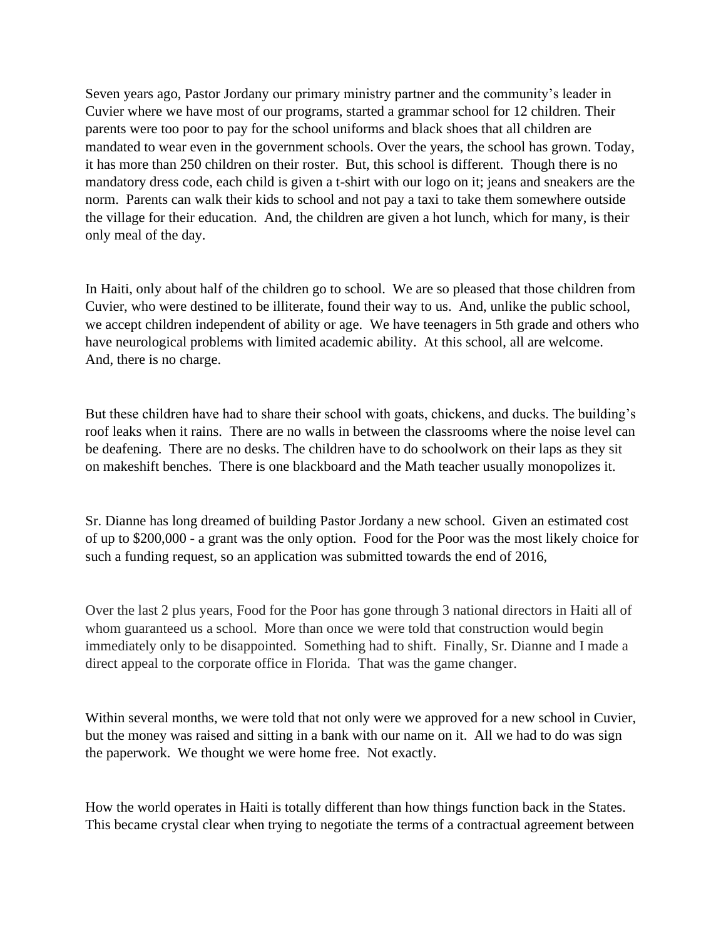Seven years ago, Pastor Jordany our primary ministry partner and the community's leader in Cuvier where we have most of our programs, started a grammar school for 12 children. Their parents were too poor to pay for the school uniforms and black shoes that all children are mandated to wear even in the government schools. Over the years, the school has grown. Today, it has more than 250 children on their roster. But, this school is different. Though there is no mandatory dress code, each child is given a t-shirt with our logo on it; jeans and sneakers are the norm. Parents can walk their kids to school and not pay a taxi to take them somewhere outside the village for their education. And, the children are given a hot lunch, which for many, is their only meal of the day.

In Haiti, only about half of the children go to school. We are so pleased that those children from Cuvier, who were destined to be illiterate, found their way to us. And, unlike the public school, we accept children independent of ability or age. We have teenagers in 5th grade and others who have neurological problems with limited academic ability. At this school, all are welcome. And, there is no charge.

But these children have had to share their school with goats, chickens, and ducks. The building's roof leaks when it rains. There are no walls in between the classrooms where the noise level can be deafening. There are no desks. The children have to do schoolwork on their laps as they sit on makeshift benches. There is one blackboard and the Math teacher usually monopolizes it.

Sr. Dianne has long dreamed of building Pastor Jordany a new school. Given an estimated cost of up to \$200,000 - a grant was the only option. Food for the Poor was the most likely choice for such a funding request, so an application was submitted towards the end of 2016,

Over the last 2 plus years, Food for the Poor has gone through 3 national directors in Haiti all of whom guaranteed us a school. More than once we were told that construction would begin immediately only to be disappointed. Something had to shift. Finally, Sr. Dianne and I made a direct appeal to the corporate office in Florida. That was the game changer.

Within several months, we were told that not only were we approved for a new school in Cuvier, but the money was raised and sitting in a bank with our name on it. All we had to do was sign the paperwork. We thought we were home free. Not exactly.

How the world operates in Haiti is totally different than how things function back in the States. This became crystal clear when trying to negotiate the terms of a contractual agreement between